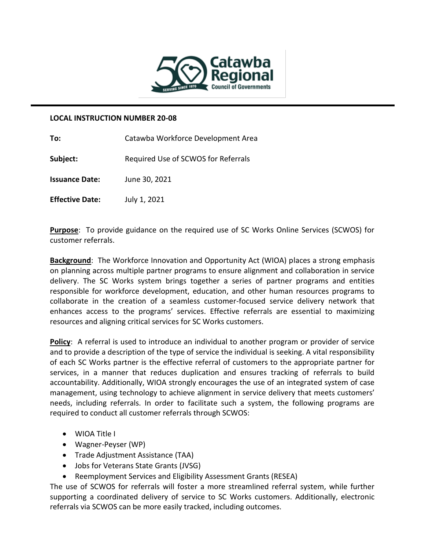

## **LOCAL INSTRUCTION NUMBER 20-08**

| To:                    | Catawba Workforce Development Area  |
|------------------------|-------------------------------------|
| Subject:               | Required Use of SCWOS for Referrals |
| <b>Issuance Date:</b>  | June 30, 2021                       |
| <b>Effective Date:</b> | July 1, 2021                        |

**Purpose**: To provide guidance on the required use of SC Works Online Services (SCWOS) for customer referrals.

**Background**: The Workforce Innovation and Opportunity Act (WIOA) places a strong emphasis on planning across multiple partner programs to ensure alignment and collaboration in service delivery. The SC Works system brings together a series of partner programs and entities responsible for workforce development, education, and other human resources programs to collaborate in the creation of a seamless customer-focused service delivery network that enhances access to the programs' services. Effective referrals are essential to maximizing resources and aligning critical services for SC Works customers.

**Policy**: A referral is used to introduce an individual to another program or provider of service and to provide a description of the type of service the individual is seeking. A vital responsibility of each SC Works partner is the effective referral of customers to the appropriate partner for services, in a manner that reduces duplication and ensures tracking of referrals to build accountability. Additionally, WIOA strongly encourages the use of an integrated system of case management, using technology to achieve alignment in service delivery that meets customers' needs, including referrals. In order to facilitate such a system, the following programs are required to conduct all customer referrals through SCWOS:

- WIOA Title I
- Wagner-Peyser (WP)
- Trade Adjustment Assistance (TAA)
- Jobs for Veterans State Grants (JVSG)
- Reemployment Services and Eligibility Assessment Grants (RESEA)

The use of SCWOS for referrals will foster a more streamlined referral system, while further supporting a coordinated delivery of service to SC Works customers. Additionally, electronic referrals via SCWOS can be more easily tracked, including outcomes.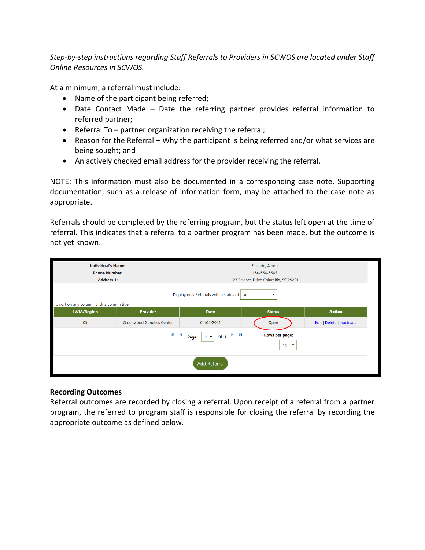*Step-by-step instructions regarding Staff Referrals to Providers in SCWOS are located under Staff Online Resources in SCWOS.* 

At a minimum, a referral must include:

- Name of the participant being referred;
- Date Contact Made Date the referring partner provides referral information to referred partner;
- Referral To partner organization receiving the referral;
- Reason for the Referral Why the participant is being referred and/or what services are being sought; and
- An actively checked email address for the provider receiving the referral.

NOTE: This information must also be documented in a corresponding case note. Supporting documentation, such as a release of information form, may be attached to the case note as appropriate.

Referrals should be completed by the referring program, but the status left open at the time of referral. This indicates that a referral to a partner program has been made, but the outcome is not yet known.

| <b>Individual's Name:</b><br><b>Phone Number:</b><br><b>Address 1:</b>                         |                                  |             | Einstein, Albert<br>164-564-5645<br>123 Science Drive Columbia, SC 29201 |                                   |  |  |  |
|------------------------------------------------------------------------------------------------|----------------------------------|-------------|--------------------------------------------------------------------------|-----------------------------------|--|--|--|
| Display only Referrals with a status of<br>All<br>To sort on any column, click a column title. |                                  |             |                                                                          |                                   |  |  |  |
| <b>LWIA/Region</b>                                                                             | Provider                         | <b>Date</b> | <b>Status</b>                                                            | <b>Action</b>                     |  |  |  |
| 05                                                                                             | <b>Greenwood Genetics Center</b> | 04/05/2021  | Open                                                                     | <b>Edit   Delete   Inactivate</b> |  |  |  |
| K<br>ÞМ<br><b>Rows per page:</b><br>Of 1<br>Page<br>$\blacktriangledown$<br>$10 \rightarrow$   |                                  |             |                                                                          |                                   |  |  |  |
| <b>Add Referral</b>                                                                            |                                  |             |                                                                          |                                   |  |  |  |

## **Recording Outcomes**

Referral outcomes are recorded by closing a referral. Upon receipt of a referral from a partner program, the referred to program staff is responsible for closing the referral by recording the appropriate outcome as defined below.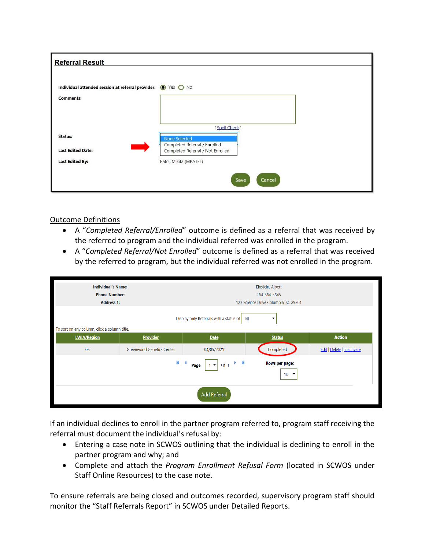| <b>Referral Result</b>                                        |                                                                    |
|---------------------------------------------------------------|--------------------------------------------------------------------|
| Individual attended session at referral provider: (O Yes O No |                                                                    |
| <b>Comments:</b>                                              |                                                                    |
|                                                               |                                                                    |
|                                                               | [Spell Check]                                                      |
| Status:                                                       | None Selected                                                      |
| <b>Last Edited Date:</b>                                      | Completed Referral / Enrolled<br>Completed Referral / Not Enrolled |
| <b>Last Edited By:</b>                                        | Patel, Mikita (MPATEL)                                             |
|                                                               |                                                                    |
|                                                               | Save<br>Cancel                                                     |

## Outcome Definitions

- A "*Completed Referral/Enrolled*" outcome is defined as a referral that was received by the referred to program and the individual referred was enrolled in the program.
- A "*Completed Referral/Not Enrolled*" outcome is defined as a referral that was received by the referred to program, but the individual referred was not enrolled in the program.

| <b>Individual's Name:</b><br><b>Phone Number:</b><br><b>Address 1:</b>                                                      |                           |             | Einstein, Albert<br>164-564-5645<br>123 Science Drive Columbia, SC 29201 |                            |  |  |
|-----------------------------------------------------------------------------------------------------------------------------|---------------------------|-------------|--------------------------------------------------------------------------|----------------------------|--|--|
| Display only Referrals with a status of<br>All<br>To sort on any column, click a column title.                              |                           |             |                                                                          |                            |  |  |
| <b>LWIA/Region</b>                                                                                                          | <b>Provider</b>           | <b>Date</b> | <b>Status</b>                                                            | <b>Action</b>              |  |  |
| 05                                                                                                                          | Greenwood Genetics Center | 04/05/2021  | Completed                                                                | Edit   Delete   Inactivate |  |  |
| $M \leq 4$<br>$\overrightarrow{0}$ of 1<br>Rows per page:<br>$1 - 7$<br>Page<br>10 <sup>1</sup><br>$\overline{\phantom{a}}$ |                           |             |                                                                          |                            |  |  |
| <b>Add Referral</b>                                                                                                         |                           |             |                                                                          |                            |  |  |

If an individual declines to enroll in the partner program referred to, program staff receiving the referral must document the individual's refusal by:

- Entering a case note in SCWOS outlining that the individual is declining to enroll in the partner program and why; and
- Complete and attach the *Program Enrollment Refusal Form* (located in SCWOS under Staff Online Resources) to the case note.

To ensure referrals are being closed and outcomes recorded, supervisory program staff should monitor the "Staff Referrals Report" in SCWOS under Detailed Reports.